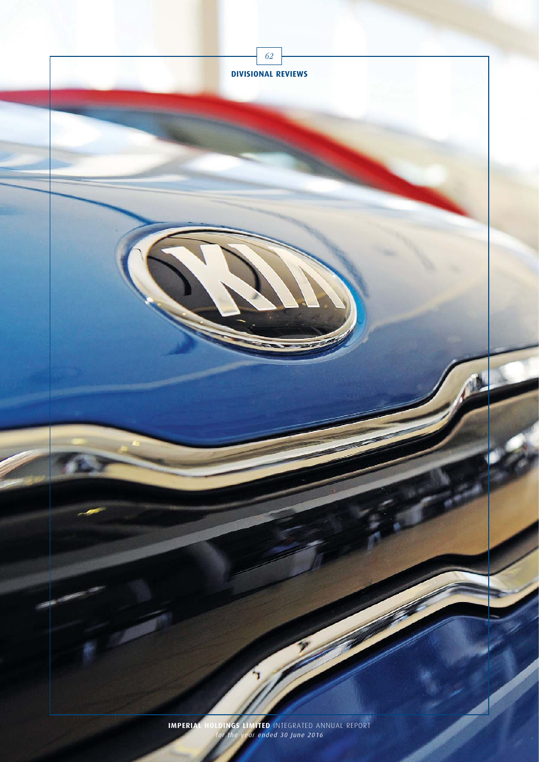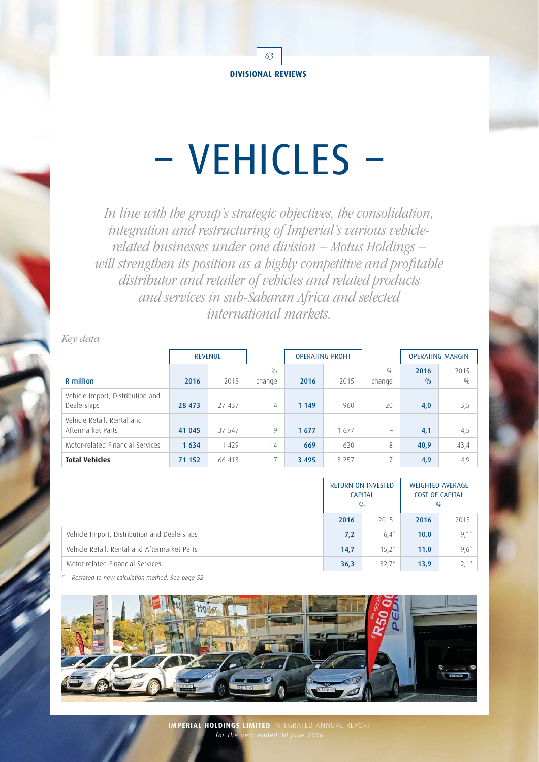

# – VEHICLES –

In line with the group's strategic objectives, the consolidation, integration and restructuring of Imperial's various vehiclerelated businesses under one division – Motus Holdings – will strengthen its position as a highly competitive and profitable distributor and retailer of vehicles and related products and services in sub-Saharan Africa and selected international markets.

Key data

|                                                 | <b>REVENUE</b> |         |                | <b>OPERATING PROFIT</b> |         |                          | <b>OPERATING MARGIN</b> |      |
|-------------------------------------------------|----------------|---------|----------------|-------------------------|---------|--------------------------|-------------------------|------|
|                                                 |                |         | 0/0            |                         |         | 0/0                      | 2016                    | 2015 |
| R million                                       | 2016           | 2015    | change         | 2016                    | 2015    | change                   | 0/0                     | 0/0  |
| Vehicle Import, Distribution and<br>Dealerships | 28 473         | 27 437  | $\overline{4}$ | 1 1 4 9                 | 960     | 20                       | 4,0                     | 3,5  |
| Vehicle Retail, Rental and<br>Aftermarket Parts | 41 045         | 37 547  | 9              | 1677                    | 1677    | $\overline{\phantom{0}}$ | 4,1                     | 4,5  |
| Motor-related Financial Services                | 1634           | 1 4 2 9 | 14             | 669                     | 620     | 8                        | 40,9                    | 43,4 |
| <b>Total Vehicles</b>                           | 71 152         | 66 413  | 7              | 3 4 9 5                 | 3 2 5 7 |                          | 4,9                     | 4,9  |

|                                              | <b>RETURN ON INVESTED</b><br><b>CAPITAL</b><br>0/0 |          |      | <b>WEIGHTED AVERAGE</b><br><b>COST OF CAPITAL</b><br>0/0 |  |
|----------------------------------------------|----------------------------------------------------|----------|------|----------------------------------------------------------|--|
|                                              | 2016                                               | 2015     | 2016 | 2015                                                     |  |
| Vehicle Import, Distribution and Dealerships | 7,2                                                | $6.4^*$  | 10,0 | $9,1^*$                                                  |  |
| Vehicle Retail, Rental and Aftermarket Parts | 14,7                                               | $15.2^*$ | 11,0 | $9,6*$                                                   |  |
| Motor-related Financial Services             | 36,3                                               | $32.7^*$ | 13,9 | $12.1*$                                                  |  |

Restated to new calculation method. See page 52.

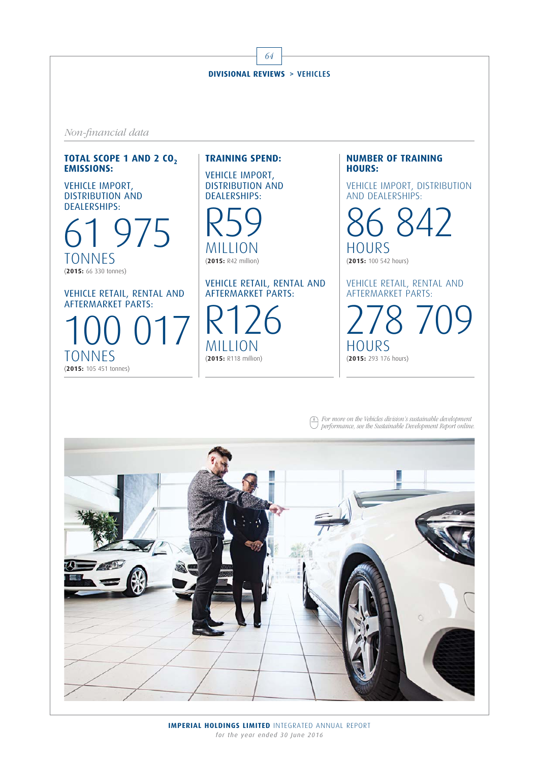64 **DIVISIONAL REVIEWS** > VEHICLES Non-financial data

### **TOTAL SCOPE 1 AND 2 CO<sub>2</sub> EMISSIONS:**

VEHICLE IMPORT, DISTRIBUTION AND DEALERSHIPS:

975 TONNES (**2015:** 66 330 tonnes)

VEHICLE RETAIL, RENTAL AND AFTERMARKET PARTS:

100 017 TONNES (**2015:** 105 451 tonnes)

# **TRAINING SPEND:**

VEHICLE IMPORT, DISTRIBUTION AND DEALERSHIPS:

R59 MILLION (**2015:** R42 million)

VEHICLE RETAIL, RENTAL AND AFTERMARKET PARTS:

R126 MILLION (**2015:** R118 million)

**NUMBER OF TRAINING HOURS:**

VEHICLE IMPORT, DISTRIBUTION AND DEALERSHIPS:

86 842 **HOURS** (**2015:** 100 542 hours)

VEHICLE RETAIL, RENTAL AND AFTERMARKET PARTS:

278 709 HOURS (**2015:** 293 176 hours)

For more on the Vehicles division's sustainable development performance, see the Sustainable Development Report online.

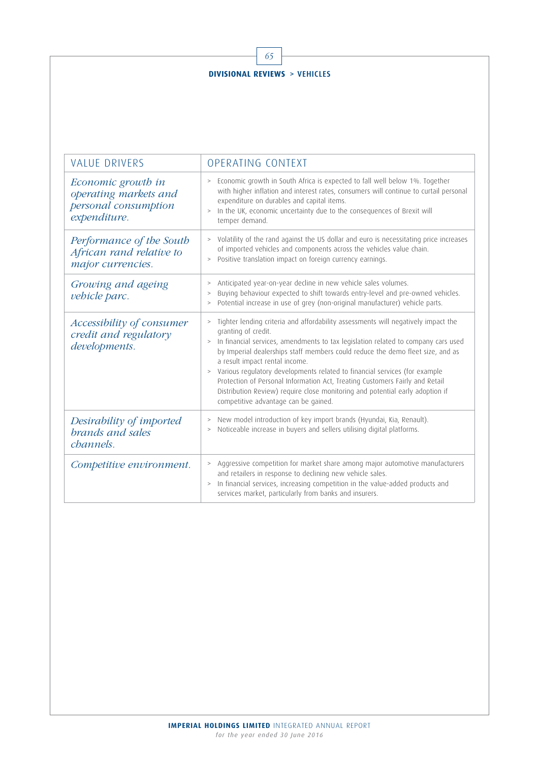| <b>VALUE DRIVERS</b>                                                                | OPERATING CONTEXT                                                                                                                                                                                                                                                                                                                                                                                                                                                                                                                                                                                                              |  |  |  |  |
|-------------------------------------------------------------------------------------|--------------------------------------------------------------------------------------------------------------------------------------------------------------------------------------------------------------------------------------------------------------------------------------------------------------------------------------------------------------------------------------------------------------------------------------------------------------------------------------------------------------------------------------------------------------------------------------------------------------------------------|--|--|--|--|
| Economic growth in<br>operating markets and<br>personal consumption<br>expenditure. | Economic growth in South Africa is expected to fall well below 1%. Together<br>$\,>$<br>with higher inflation and interest rates, consumers will continue to curtail personal<br>expenditure on durables and capital items.<br>In the UK, economic uncertainty due to the consequences of Brexit will<br>$\, >$<br>temper demand.                                                                                                                                                                                                                                                                                              |  |  |  |  |
| Performance of the South<br>African rand relative to<br>major currencies.           | > Volatility of the rand against the US dollar and euro is necessitating price increases<br>of imported vehicles and components across the vehicles value chain.<br>Positive translation impact on foreign currency earnings.<br>$\, >$                                                                                                                                                                                                                                                                                                                                                                                        |  |  |  |  |
| Growing and ageing<br>vehicle parc.                                                 | Anticipated year-on-year decline in new vehicle sales volumes.<br>$\, >$<br>Buying behaviour expected to shift towards entry-level and pre-owned vehicles.<br>$\, >$<br>Potential increase in use of grey (non-original manufacturer) vehicle parts.<br>$\, >$                                                                                                                                                                                                                                                                                                                                                                 |  |  |  |  |
| Accessibility of consumer<br>credit and regulatory<br>developments.                 | Tighter lending criteria and affordability assessments will negatively impact the<br>$\, >$<br>granting of credit.<br>In financial services, amendments to tax legislation related to company cars used<br>$\, >$<br>by Imperial dealerships staff members could reduce the demo fleet size, and as<br>a result impact rental income.<br>> Various regulatory developments related to financial services (for example<br>Protection of Personal Information Act, Treating Customers Fairly and Retail<br>Distribution Review) require close monitoring and potential early adoption if<br>competitive advantage can be gained. |  |  |  |  |
| Desirability of imported<br>brands and sales<br>channels.                           | New model introduction of key import brands (Hyundai, Kia, Renault).<br>Noticeable increase in buyers and sellers utilising digital platforms.<br>$\, >$                                                                                                                                                                                                                                                                                                                                                                                                                                                                       |  |  |  |  |
| Competitive environment.                                                            | Aggressive competition for market share among major automotive manufacturers<br>$\, >$<br>and retailers in response to declining new vehicle sales.<br>In financial services, increasing competition in the value-added products and<br>$\, >$<br>services market, particularly from banks and insurers.                                                                                                                                                                                                                                                                                                                       |  |  |  |  |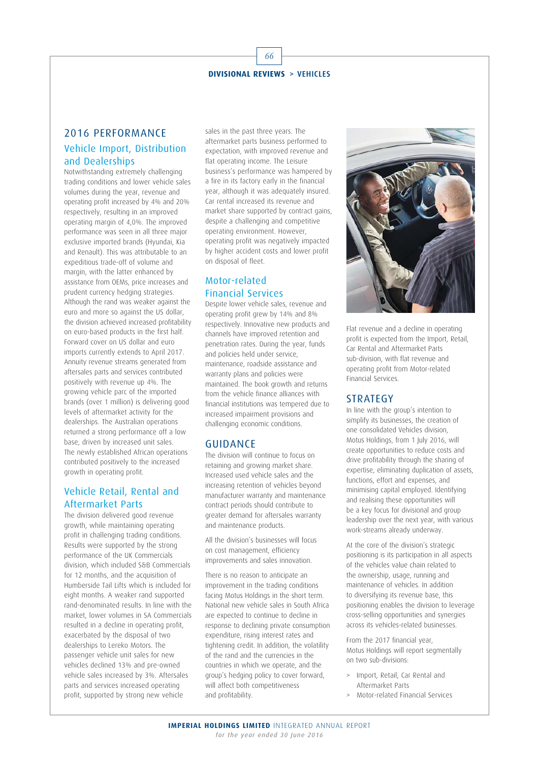# 2016 PERFORMANCE Vehicle Import, Distribution and Dealerships

Notwithstanding extremely challenging trading conditions and lower vehicle sales volumes during the year, revenue and operating profit increased by 4% and 20% respectively, resulting in an improved operating margin of 4,0%. The improved performance was seen in all three major exclusive imported brands (Hyundai, Kia and Renault). This was attributable to an expeditious trade-off of volume and margin, with the latter enhanced by assistance from OEMs, price increases and prudent currency hedging strategies. Although the rand was weaker against the euro and more so against the US dollar, the division achieved increased profitability on euro-based products in the first half. Forward cover on US dollar and euro imports currently extends to April 2017. Annuity revenue streams generated from aftersales parts and services contributed positively with revenue up 4%. The growing vehicle parc of the imported brands (over 1 million) is delivering good levels of aftermarket activity for the dealerships. The Australian operations returned a strong performance off a low base, driven by increased unit sales. The newly established African operations contributed positively to the increased growth in operating profit.

# Vehicle Retail, Rental and Aftermarket Parts

The division delivered good revenue growth, while maintaining operating profit in challenging trading conditions. Results were supported by the strong performance of the UK Commercials division, which included S&B Commercials for 12 months, and the acquisition of Humberside Tail Lifts which is included for eight months. A weaker rand supported rand-denominated results. In line with the market, lower volumes in SA Commercials resulted in a decline in operating profit, exacerbated by the disposal of two dealerships to Lereko Motors. The passenger vehicle unit sales for new vehicles declined 13% and pre-owned vehicle sales increased by 3%. Aftersales parts and services increased operating profit, supported by strong new vehicle

sales in the past three years. The aftermarket parts business performed to expectation, with improved revenue and flat operating income. The Leisure business's performance was hampered by a fire in its factory early in the financial year, although it was adequately insured. Car rental increased its revenue and market share supported by contract gains, despite a challenging and competitive operating environment. However, operating profit was negatively impacted by higher accident costs and lower profit on disposal of fleet.

# Motor-related Financial Services

Despite lower vehicle sales, revenue and operating profit grew by 14% and 8% respectively. Innovative new products and channels have improved retention and penetration rates. During the year, funds and policies held under service, maintenance, roadside assistance and warranty plans and policies were maintained. The book growth and returns from the vehicle finance alliances with financial institutions was tempered due to increased impairment provisions and challenging economic conditions.

## GUIDANCE

The division will continue to focus on retaining and growing market share. Increased used vehicle sales and the increasing retention of vehicles beyond manufacturer warranty and maintenance contract periods should contribute to greater demand for aftersales warranty and maintenance products.

All the division's businesses will focus on cost management, efficiency improvements and sales innovation.

There is no reason to anticipate an improvement in the trading conditions facing Motus Holdings in the short term. National new vehicle sales in South Africa are expected to continue to decline in response to declining private consumption expenditure, rising interest rates and tightening credit. In addition, the volatility of the rand and the currencies in the countries in which we operate, and the group's hedging policy to cover forward, will affect both competitiveness and profitability.



Flat revenue and a decline in operating profit is expected from the Import, Retail, Car Rental and Aftermarket Parts sub-division, with flat revenue and operating profit from Motor-related Financial Services.

## **STRATEGY**

In line with the group's intention to simplify its businesses, the creation of one consolidated Vehicles division, Motus Holdings, from 1 July 2016, will create opportunities to reduce costs and drive profitability through the sharing of expertise, eliminating duplication of assets, functions, effort and expenses, and minimising capital employed. Identifying and realising these opportunities will be a key focus for divisional and group leadership over the next year, with various work-streams already underway.

At the core of the division's strategic positioning is its participation in all aspects of the vehicles value chain related to the ownership, usage, running and maintenance of vehicles. In addition to diversifying its revenue base, this positioning enables the division to leverage cross-selling opportunities and synergies across its vehicles-related businesses.

From the 2017 financial year, Motus Holdings will report segmentally on two sub-divisions:

- > Import, Retail, Car Rental and Aftermarket Parts
- > Motor-related Financial Services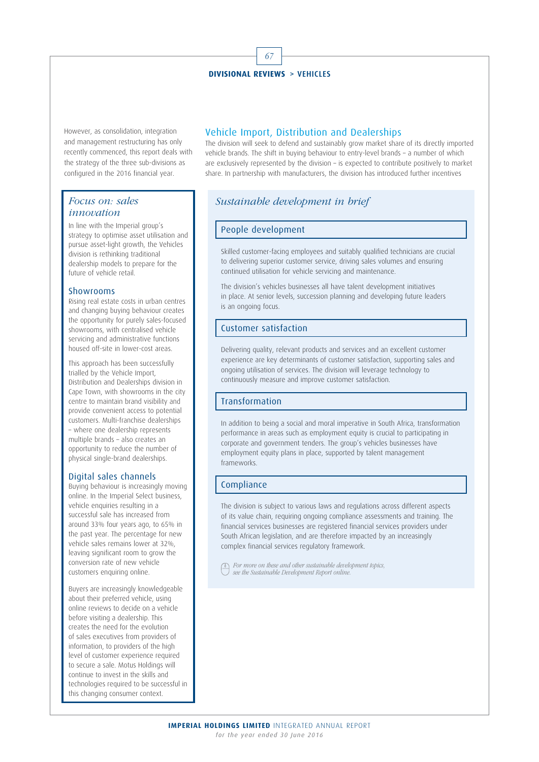However, as consolidation, integration and management restructuring has only recently commenced, this report deals with the strategy of the three sub-divisions as configured in the 2016 financial year.

## Focus on: sales innovation

In line with the Imperial group's strategy to optimise asset utilisation and pursue asset-light growth, the Vehicles division is rethinking traditional dealership models to prepare for the future of vehicle retail.

#### Showrooms

Rising real estate costs in urban centres and changing buying behaviour creates the opportunity for purely sales-focused showrooms, with centralised vehicle servicing and administrative functions housed off-site in lower-cost areas.

This approach has been successfully trialled by the Vehicle Import, Distribution and Dealerships division in Cape Town, with showrooms in the city centre to maintain brand visibility and provide convenient access to potential customers. Multi-franchise dealerships – where one dealership represents multiple brands – also creates an opportunity to reduce the number of physical single-brand dealerships.

#### Digital sales channels

Buying behaviour is increasingly moving online. In the Imperial Select business, vehicle enquiries resulting in a successful sale has increased from around 33% four years ago, to 65% in the past year. The percentage for new vehicle sales remains lower at 32%, leaving significant room to grow the conversion rate of new vehicle customers enquiring online.

Buyers are increasingly knowledgeable about their preferred vehicle, using online reviews to decide on a vehicle before visiting a dealership. This creates the need for the evolution of sales executives from providers of information, to providers of the high level of customer experience required to secure a sale. Motus Holdings will continue to invest in the skills and technologies required to be successful in this changing consumer context.

## Vehicle Import, Distribution and Dealerships

The division will seek to defend and sustainably grow market share of its directly imported vehicle brands. The shift in buying behaviour to entry-level brands – a number of which are exclusively represented by the division – is expected to contribute positively to market share. In partnership with manufacturers, the division has introduced further incentives

# Sustainable development in brief

#### People development

Skilled customer-facing employees and suitably qualified technicians are crucial to delivering superior customer service, driving sales volumes and ensuring continued utilisation for vehicle servicing and maintenance.

The division's vehicles businesses all have talent development initiatives in place. At senior levels, succession planning and developing future leaders is an ongoing focus.

## Customer satisfaction

Delivering quality, relevant products and services and an excellent customer experience are key determinants of customer satisfaction, supporting sales and ongoing utilisation of services. The division will leverage technology to continuously measure and improve customer satisfaction.

#### Transformation

In addition to being a social and moral imperative in South Africa, transformation performance in areas such as employment equity is crucial to participating in corporate and government tenders. The group's vehicles businesses have employment equity plans in place, supported by talent management frameworks.

## Compliance

The division is subject to various laws and regulations across different aspects of its value chain, requiring ongoing compliance assessments and training. The financial services businesses are registered financial services providers under South African legislation, and are therefore impacted by an increasingly complex financial services regulatory framework.

For more on these and other sustainable development topics, see the Sustainable Development Report online.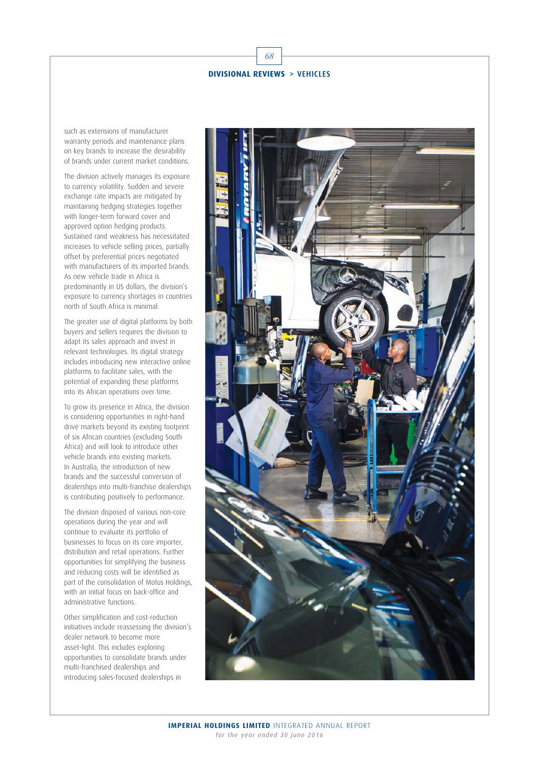

68

such as extensions of manufacturer warranty periods and maintenance plans on key brands to increase the desirability of brands under current market conditions.

The division actively manages its exposure to currency volatility. Sudden and severe exchange rate impacts are mitigated by maintaining hedging strategies together with longer-term forward cover and approved option hedging products. Sustained rand weakness has necessitated increases to vehicle selling prices, partially offset by preferential prices negotiated with manufacturers of its imported brands. As new vehicle trade in Africa is predominantly in US dollars, the division's exposure to currency shortages in countries north of South Africa is minimal.

The greater use of digital platforms by both buyers and sellers requires the division to adapt its sales approach and invest in relevant technologies. Its digital strategy includes introducing new interactive online platforms to facilitate sales, with the potential of expanding these platforms into its African operations over time.

To grow its presence in Africa, the division is considering opportunities in right-hand drive markets beyond its existing footprint of six African countries (excluding South Africa) and will look to introduce other vehicle brands into existing markets. In Australia, the introduction of new brands and the successful conversion of dealerships into multi-franchise dealerships is contributing positively to performance.

The division disposed of various non-core operations during the year and will continue to evaluate its portfolio of businesses to focus on its core importer, distribution and retail operations. Further opportunities for simplifying the business and reducing costs will be identified as part of the consolidation of Motus Holdings, with an initial focus on back-office and administrative functions.

Other simplification and cost-reduction initiatives include reassessing the division's dealer network to become more asset-light. This includes exploring opportunities to consolidate brands under multi-franchised dealerships and introducing sales-focused dealerships in